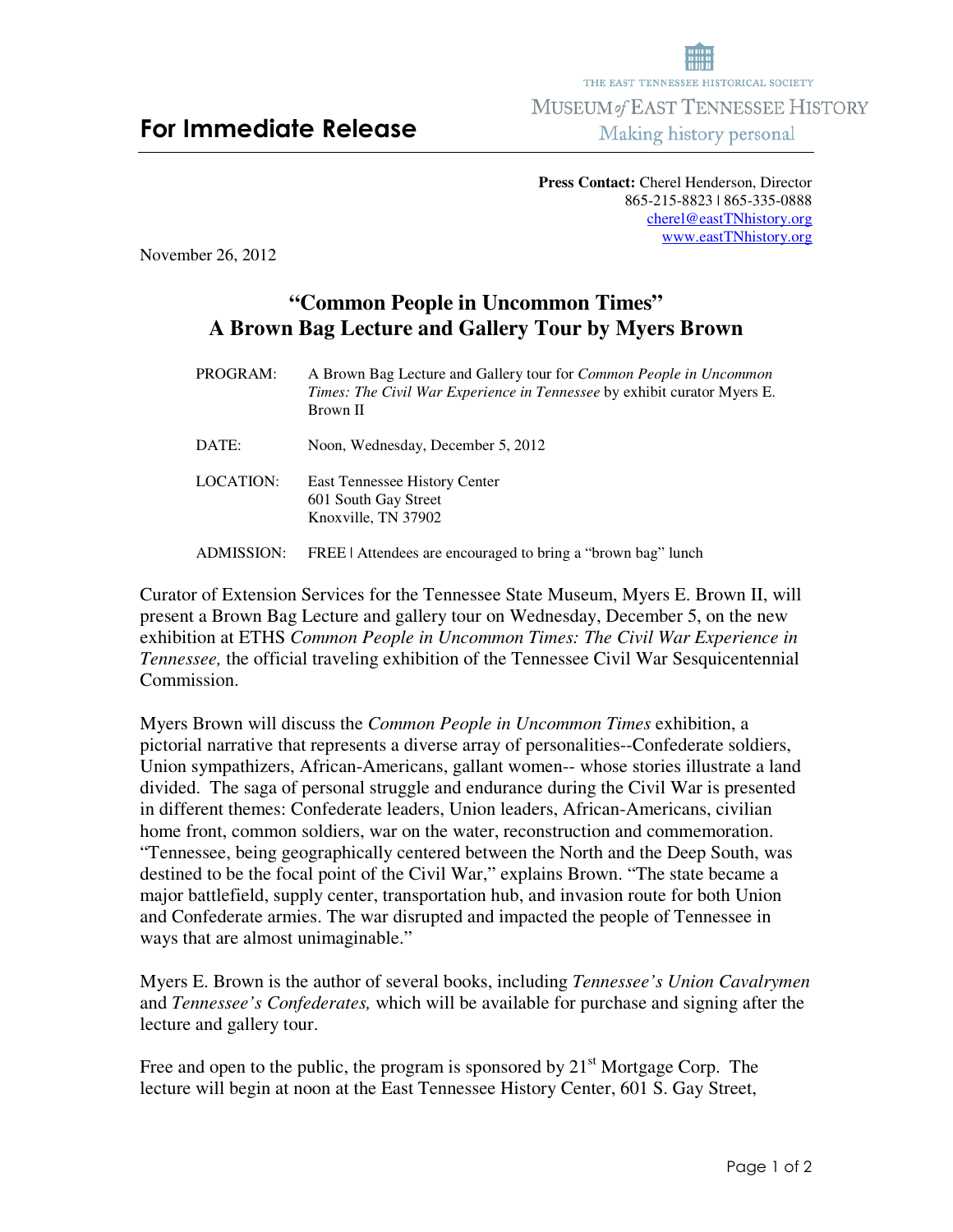**Press Contact:** Cherel Henderson, Director 865-215-8823 | 865-335-0888 cherel@eastTNhistory.org www.eastTNhistory.org

November 26, 2012

## **"Common People in Uncommon Times" A Brown Bag Lecture and Gallery Tour by Myers Brown**

PROGRAM:A Brown Bag Lecture and Gallery tour for *Common People in Uncommon Times: The Civil War Experience in Tennessee* by exhibit curator Myers E. Brown II DATE: Noon, Wednesday, December 5, 2012 LOCATION: East Tennessee History Center 601 South Gay Street Knoxville, TN 37902 ADMISSION: FREE | Attendees are encouraged to bring a "brown bag" lunch

Curator of Extension Services for the Tennessee State Museum, Myers E. Brown II, will present a Brown Bag Lecture and gallery tour on Wednesday, December 5, on the new exhibition at ETHS *Common People in Uncommon Times: The Civil War Experience in Tennessee,* the official traveling exhibition of the Tennessee Civil War Sesquicentennial Commission.

Myers Brown will discuss the *Common People in Uncommon Times* exhibition, a pictorial narrative that represents a diverse array of personalities--Confederate soldiers, Union sympathizers, African-Americans, gallant women-- whose stories illustrate a land divided. The saga of personal struggle and endurance during the Civil War is presented in different themes: Confederate leaders, Union leaders, African-Americans, civilian home front, common soldiers, war on the water, reconstruction and commemoration. "Tennessee, being geographically centered between the North and the Deep South, was destined to be the focal point of the Civil War," explains Brown. "The state became a major battlefield, supply center, transportation hub, and invasion route for both Union and Confederate armies. The war disrupted and impacted the people of Tennessee in ways that are almost unimaginable."

Myers E. Brown is the author of several books, including *Tennessee's Union Cavalrymen* and *Tennessee's Confederates,* which will be available for purchase and signing after the lecture and gallery tour.

Free and open to the public, the program is sponsored by  $21<sup>st</sup>$  Mortgage Corp. The lecture will begin at noon at the East Tennessee History Center, 601 S. Gay Street,